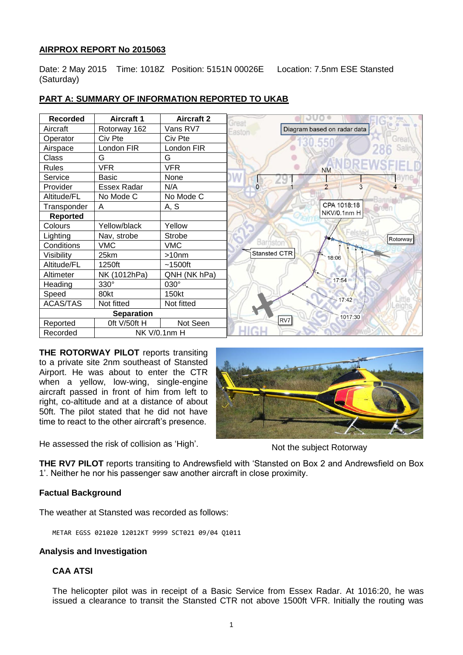# **AIRPROX REPORT No 2015063**

Date: 2 May 2015 Time: 1018Z Position: 5151N 00026E Location: 7.5nm ESE Stansted (Saturday)

| <b>Recorded</b>   | <b>Aircraft 1</b>   | <b>Aircraft 2</b> | əuc<br><b>Great</b>                   |
|-------------------|---------------------|-------------------|---------------------------------------|
| Aircraft          | Rotorway 162        | Vans RV7          | Diagram based on radar data<br>Easton |
| Operator          | Civ Pte             | Civ Pte           | sreat                                 |
| Airspace          | London FIR          | London FIR        |                                       |
| <b>Class</b>      | G                   | G                 |                                       |
| <b>Rules</b>      | <b>VFR</b>          | <b>VFR</b>        | <b>NM</b>                             |
| Service           | <b>Basic</b>        | None              |                                       |
| Provider          | <b>Essex Radar</b>  | N/A               | $\overline{0}$                        |
| Altitude/FL       | No Mode C           | No Mode C         |                                       |
| Transponder       | A                   | A, S              | CPA 1018:18                           |
| <b>Reported</b>   |                     |                   | NKV/0.1nm H                           |
| Colours           | Yellow/black        | Yellow            |                                       |
| Lighting          | Nav, strobe         | Strobe            | Rotorway                              |
| Conditions        | <b>VMC</b>          | <b>VMC</b>        | Barnstor                              |
| Visibility        | 25km                | >10 <sub>nm</sub> | Stansted CTR<br>18:06                 |
| Altitude/FL       | 1250ft              | $~1500$ ft        |                                       |
| Altimeter         | NK (1012hPa)        | QNH (NK hPa)      |                                       |
| Heading           | 330°                | 030°              | 17:54                                 |
| Speed             | 80kt                | 150kt             |                                       |
| <b>ACAS/TAS</b>   | Not fitted          | Not fitted        | 17:42                                 |
| <b>Separation</b> |                     |                   | 1017:30                               |
| Reported          | Oft V/50ft H        | Not Seen          | RV7                                   |
| Recorded          | <b>NK V/0.1nm H</b> |                   |                                       |

## **PART A: SUMMARY OF INFORMATION REPORTED TO UKAB**

**THE ROTORWAY PILOT** reports transiting to a private site 2nm southeast of Stansted Airport. He was about to enter the CTR when a yellow, low-wing, single-engine aircraft passed in front of him from left to right, co-altitude and at a distance of about 50ft. The pilot stated that he did not have time to react to the other aircraft's presence.

He assessed the risk of collision as 'High'.



Not the subject Rotorway

**THE RV7 PILOT** reports transiting to Andrewsfield with 'Stansted on Box 2 and Andrewsfield on Box 1'. Neither he nor his passenger saw another aircraft in close proximity.

## **Factual Background**

The weather at Stansted was recorded as follows:

METAR EGSS 021020 12012KT 9999 SCT021 09/04 Q1011

## **Analysis and Investigation**

## **CAA ATSI**

The helicopter pilot was in receipt of a Basic Service from Essex Radar. At 1016:20, he was issued a clearance to transit the Stansted CTR not above 1500ft VFR. Initially the routing was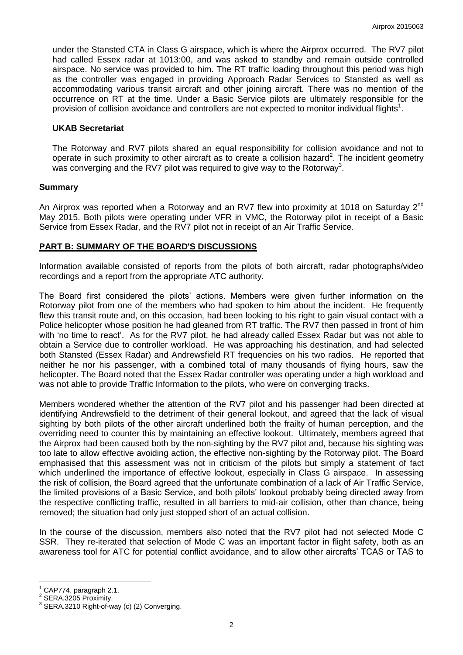under the Stansted CTA in Class G airspace, which is where the Airprox occurred. The RV7 pilot had called Essex radar at 1013:00, and was asked to standby and remain outside controlled airspace. No service was provided to him. The RT traffic loading throughout this period was high as the controller was engaged in providing Approach Radar Services to Stansted as well as accommodating various transit aircraft and other joining aircraft. There was no mention of the occurrence on RT at the time. Under a Basic Service pilots are ultimately responsible for the provision of collision avoidance and controllers are not expected to monitor individual flights<sup>1</sup>.

#### **UKAB Secretariat**

The Rotorway and RV7 pilots shared an equal responsibility for collision avoidance and not to operate in such proximity to other aircraft as to create a collision hazard<sup>2</sup>. The incident geometry was converging and the RV7 pilot was required to give way to the Rotorway<sup>3</sup>.

### **Summary**

An Airprox was reported when a Rotorway and an RV7 flew into proximity at 1018 on Saturday  $2^{nd}$ May 2015. Both pilots were operating under VFR in VMC, the Rotorway pilot in receipt of a Basic Service from Essex Radar, and the RV7 pilot not in receipt of an Air Traffic Service.

## **PART B: SUMMARY OF THE BOARD'S DISCUSSIONS**

Information available consisted of reports from the pilots of both aircraft, radar photographs/video recordings and a report from the appropriate ATC authority.

The Board first considered the pilots' actions. Members were given further information on the Rotorway pilot from one of the members who had spoken to him about the incident. He frequently flew this transit route and, on this occasion, had been looking to his right to gain visual contact with a Police helicopter whose position he had gleaned from RT traffic. The RV7 then passed in front of him with 'no time to react'. As for the RV7 pilot, he had already called Essex Radar but was not able to obtain a Service due to controller workload. He was approaching his destination, and had selected both Stansted (Essex Radar) and Andrewsfield RT frequencies on his two radios. He reported that neither he nor his passenger, with a combined total of many thousands of flying hours, saw the helicopter. The Board noted that the Essex Radar controller was operating under a high workload and was not able to provide Traffic Information to the pilots, who were on converging tracks.

Members wondered whether the attention of the RV7 pilot and his passenger had been directed at identifying Andrewsfield to the detriment of their general lookout, and agreed that the lack of visual sighting by both pilots of the other aircraft underlined both the frailty of human perception, and the overriding need to counter this by maintaining an effective lookout. Ultimately, members agreed that the Airprox had been caused both by the non-sighting by the RV7 pilot and, because his sighting was too late to allow effective avoiding action, the effective non-sighting by the Rotorway pilot. The Board emphasised that this assessment was not in criticism of the pilots but simply a statement of fact which underlined the importance of effective lookout, especially in Class G airspace. In assessing the risk of collision, the Board agreed that the unfortunate combination of a lack of Air Traffic Service, the limited provisions of a Basic Service, and both pilots' lookout probably being directed away from the respective conflicting traffic, resulted in all barriers to mid-air collision, other than chance, being removed; the situation had only just stopped short of an actual collision.

In the course of the discussion, members also noted that the RV7 pilot had not selected Mode C SSR. They re-iterated that selection of Mode C was an important factor in flight safety, both as an awareness tool for ATC for potential conflict avoidance, and to allow other aircrafts' TCAS or TAS to

 $\overline{a}$ CAP774, paragraph 2.1.

<sup>2</sup> SERA.3205 Proximity.

<sup>3</sup> SERA.3210 Right-of-way (c) (2) Converging.